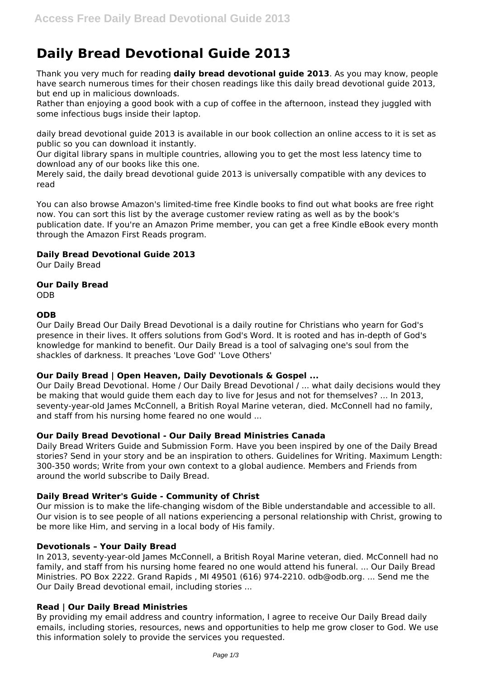# **Daily Bread Devotional Guide 2013**

Thank you very much for reading **daily bread devotional guide 2013**. As you may know, people have search numerous times for their chosen readings like this daily bread devotional guide 2013, but end up in malicious downloads.

Rather than enjoying a good book with a cup of coffee in the afternoon, instead they juggled with some infectious bugs inside their laptop.

daily bread devotional guide 2013 is available in our book collection an online access to it is set as public so you can download it instantly.

Our digital library spans in multiple countries, allowing you to get the most less latency time to download any of our books like this one.

Merely said, the daily bread devotional guide 2013 is universally compatible with any devices to read

You can also browse Amazon's limited-time free Kindle books to find out what books are free right now. You can sort this list by the average customer review rating as well as by the book's publication date. If you're an Amazon Prime member, you can get a free Kindle eBook every month through the Amazon First Reads program.

# **Daily Bread Devotional Guide 2013**

Our Daily Bread

# **Our Daily Bread**

ODB

# **ODB**

Our Daily Bread Our Daily Bread Devotional is a daily routine for Christians who yearn for God's presence in their lives. It offers solutions from God's Word. It is rooted and has in-depth of God's knowledge for mankind to benefit. Our Daily Bread is a tool of salvaging one's soul from the shackles of darkness. It preaches 'Love God' 'Love Others'

# **Our Daily Bread | Open Heaven, Daily Devotionals & Gospel ...**

Our Daily Bread Devotional. Home / Our Daily Bread Devotional / ... what daily decisions would they be making that would guide them each day to live for Jesus and not for themselves? ... In 2013, seventy-year-old James McConnell, a British Royal Marine veteran, died. McConnell had no family, and staff from his nursing home feared no one would ...

# **Our Daily Bread Devotional - Our Daily Bread Ministries Canada**

Daily Bread Writers Guide and Submission Form. Have you been inspired by one of the Daily Bread stories? Send in your story and be an inspiration to others. Guidelines for Writing. Maximum Length: 300-350 words; Write from your own context to a global audience. Members and Friends from around the world subscribe to Daily Bread.

# **Daily Bread Writer's Guide - Community of Christ**

Our mission is to make the life-changing wisdom of the Bible understandable and accessible to all. Our vision is to see people of all nations experiencing a personal relationship with Christ, growing to be more like Him, and serving in a local body of His family.

# **Devotionals – Your Daily Bread**

In 2013, seventy-year-old James McConnell, a British Royal Marine veteran, died. McConnell had no family, and staff from his nursing home feared no one would attend his funeral. ... Our Daily Bread Ministries. PO Box 2222. Grand Rapids , MI 49501 (616) 974-2210. odb@odb.org. ... Send me the Our Daily Bread devotional email, including stories ...

# **Read | Our Daily Bread Ministries**

By providing my email address and country information, I agree to receive Our Daily Bread daily emails, including stories, resources, news and opportunities to help me grow closer to God. We use this information solely to provide the services you requested.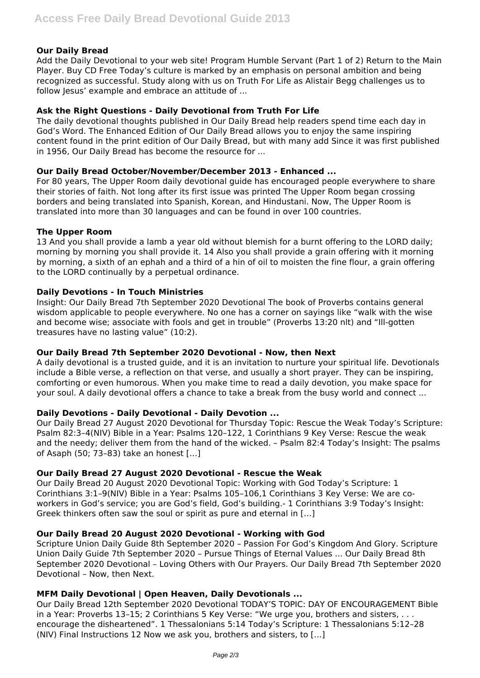#### **Our Daily Bread**

Add the Daily Devotional to your web site! Program Humble Servant (Part 1 of 2) Return to the Main Player. Buy CD Free Today's culture is marked by an emphasis on personal ambition and being recognized as successful. Study along with us on Truth For Life as Alistair Begg challenges us to follow Jesus' example and embrace an attitude of ...

#### **Ask the Right Questions - Daily Devotional from Truth For Life**

The daily devotional thoughts published in Our Daily Bread help readers spend time each day in God's Word. The Enhanced Edition of Our Daily Bread allows you to enjoy the same inspiring content found in the print edition of Our Daily Bread, but with many add Since it was first published in 1956, Our Daily Bread has become the resource for ...

#### **Our Daily Bread October/November/December 2013 - Enhanced ...**

For 80 years, The Upper Room daily devotional guide has encouraged people everywhere to share their stories of faith. Not long after its first issue was printed The Upper Room began crossing borders and being translated into Spanish, Korean, and Hindustani. Now, The Upper Room is translated into more than 30 languages and can be found in over 100 countries.

#### **The Upper Room**

13 And you shall provide a lamb a year old without blemish for a burnt offering to the LORD daily; morning by morning you shall provide it. 14 Also you shall provide a grain offering with it morning by morning, a sixth of an ephah and a third of a hin of oil to moisten the fine flour, a grain offering to the LORD continually by a perpetual ordinance.

#### **Daily Devotions - In Touch Ministries**

Insight: Our Daily Bread 7th September 2020 Devotional The book of Proverbs contains general wisdom applicable to people everywhere. No one has a corner on sayings like "walk with the wise and become wise; associate with fools and get in trouble" (Proverbs 13:20 nlt) and "Ill-gotten treasures have no lasting value" (10:2).

#### **Our Daily Bread 7th September 2020 Devotional - Now, then Next**

A daily devotional is a trusted guide, and it is an invitation to nurture your spiritual life. Devotionals include a Bible verse, a reflection on that verse, and usually a short prayer. They can be inspiring, comforting or even humorous. When you make time to read a daily devotion, you make space for your soul. A daily devotional offers a chance to take a break from the busy world and connect ...

#### **Daily Devotions - Daily Devotional - Daily Devotion ...**

Our Daily Bread 27 August 2020 Devotional for Thursday Topic: Rescue the Weak Today's Scripture: Psalm 82:3–4(NIV) Bible in a Year: Psalms 120–122, 1 Corinthians 9 Key Verse: Rescue the weak and the needy; deliver them from the hand of the wicked. – Psalm 82:4 Today's Insight: The psalms of Asaph (50; 73–83) take an honest […]

#### **Our Daily Bread 27 August 2020 Devotional - Rescue the Weak**

Our Daily Bread 20 August 2020 Devotional Topic: Working with God Today's Scripture: 1 Corinthians 3:1–9(NIV) Bible in a Year: Psalms 105–106,1 Corinthians 3 Key Verse: We are coworkers in God's service; you are God's field, God's building.- 1 Corinthians 3:9 Today's Insight: Greek thinkers often saw the soul or spirit as pure and eternal in […]

#### **Our Daily Bread 20 August 2020 Devotional - Working with God**

Scripture Union Daily Guide 8th September 2020 – Passion For God's Kingdom And Glory. Scripture Union Daily Guide 7th September 2020 – Pursue Things of Eternal Values ... Our Daily Bread 8th September 2020 Devotional – Loving Others with Our Prayers. Our Daily Bread 7th September 2020 Devotional – Now, then Next.

#### **MFM Daily Devotional | Open Heaven, Daily Devotionals ...**

Our Daily Bread 12th September 2020 Devotional TODAY'S TOPIC: DAY OF ENCOURAGEMENT Bible in a Year: Proverbs 13-15; 2 Corinthians 5 Key Verse: "We urge you, brothers and sisters, . . . encourage the disheartened". 1 Thessalonians 5:14 Today's Scripture: 1 Thessalonians 5:12–28 (NIV) Final Instructions 12 Now we ask you, brothers and sisters, to […]